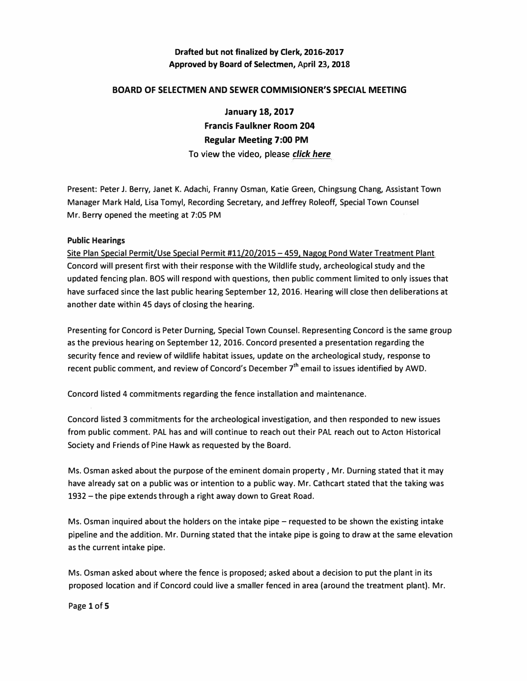### **BOARD OF SELECTMEN AND SEWER COMMISIONER'S SPECIAL MEETING**

**January 18, 2017 Francis Faulkner Room 204 Regular Meeting 7:00 PM**  To view the video, please *click here* 

**Present: Peter J. Berry, Janet K. Adachi, Franny Osman, Katie Green, Chingsung Chang, Assistant Town Manager Mark Hald, Lisa Tomyl, Recording Secretary, and Jeffrey Roleoff, Special Town Counsel Mr. Berry opened the meeting at** 7:05 **PM** 

### **Public Hearings**

**Site Plan Special Permit/Use Special Permit** #11/20/2015 - 459. **Nagog Pond Water Treatment Plant Concord will present first with their response with the Wildlife study, archeological study and the updated fencing plan. BOS will respond with questions, then public comment limited to only issues that have surfaced since the last public hearing September** 12, 2016. **Hearing will close then deliberations at another date within** 45 **days of closing the hearing.** 

**Presenting for Concord is Peter Durning, Special Town Counsel. Representing Concord is the same group as the previous hearing on September** 12, 2016. **Concord presented a presentation regarding the security fence and review of wildlife habitat issues, update on the archeological study, response to**  recent public comment, and review of Concord's December 7<sup>th</sup> email to issues identified by AWD.

**Concord listed 4 commitments regarding the fence installation and maintenance.** 

**Concord listed 3 commitments for the archeological investigation, and then responded to new issues from public comment. PAL has and will continue to reach out their PAL reach out to Acton Historical Society and Friends of Pine Hawk as requested by the Board.** 

**Ms. Osman asked about the purpose of the eminent domain property , Mr. Durning stated that it may have already sat on a public was or intention to a public way. Mr. Cathcart stated that the taking was**  1932 - **the pipe extends through a right away down to Great Road.** 

**Ms. Osman inquired about the holders on the intake pipe - requested to be shown the existing intake pipeline and the addition. Mr. Durning stated that the intake pipe is going to draw at the same elevation as the current intake pipe.** 

**Ms. Osman asked about where the fence is proposed; asked about a decision to put the plant in its proposed location and if Concord could live a smaller fenced in area (around the treatment plant). Mr.** 

**Page 1 of 5**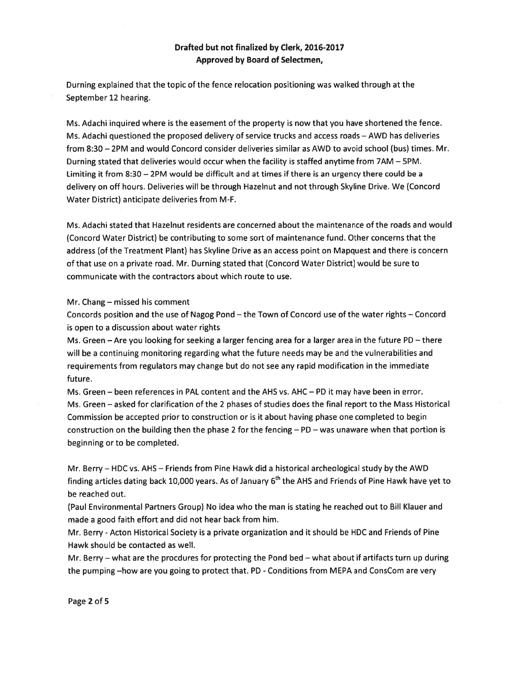Durning explained that the topic of the fence relocation positioning was walked through at the September 12 hearing.

Ms. Adachi inquired where is the easement of the property is now that you have shortened the fence. Ms. Adachi questioned the proposed delivery of service trucks and access roads — AWD has deliveries from 8:30 — 2PM and would Concord consider deliveries similar as AWD to avoid school (bus) times. Mr. Durning stated that deliveries would occur when the facility is staffed anytime from 7AM — 5PM. Limiting it from 8:30 — 2PM would be difficult and at times if there is an urgency there could be <sup>a</sup> delivery on off hours. Deliveries will be through Hazelnut and not through Skyline Drive. We (Concord Water District) anticipate deliveries from M-F.

Ms. Adachi stated that Hazelnut residents are concerned about the maintenance of the roads and would (Concord Water District) be contributing to some sort of maintenance fund. Other concerns that the address (of the Treatment Plant) has Skyline Drive as an access point on Mapquest and there is concern of that use on <sup>a</sup> private road. Mr. Durning stated that (Concord Water District) would be sure to communicate with the contractors about which route to use.

#### Mr. Chang — missed his comment

Concords position and the use of Nagog Pond — the Town of Concord use of the water rights — Concord is open to <sup>a</sup> discussion about water rights

Ms. Green — Are you looking for seeking <sup>a</sup> larger fencing area for <sup>a</sup> larger area in the future PD — there will be <sup>a</sup> continuing monitoring regarding what the future needs may be and the vulnerabilities and requirements from regulators may change but do not see any rapid modification in the immediate future.

Ms. Green — been references in PAL content and the AHS vs. AHC — PD it may have been in error. Ms. Green — asked for clarification of the 2 phases of studies does the final repor<sup>t</sup> to the Mass Historical Commission be accepted prior to construction or is it about having phase one completed to begin construction on the building then the phase 2 for the fencing — PD — was unaware when that portion is beginning or to be completed.

Mr. Berry — HDC vs. AHS — Friends from Pine Hawk did <sup>a</sup> historical archeological study by the AWD finding articles dating back 10,000 years. As of January 6<sup>th</sup> the AHS and Friends of Pine Hawk have yet to be reached out.

(Paul Environmental Partners Group) No idea who the man is stating he reached out to Bill Klauer and made <sup>a</sup> good faith effort and did not hear back from him.

Mr. Berry -Acton Historical Society is <sup>a</sup> private organization and it should be HDC and Friends of Pine Hawk should be contacted as well.

Mr. Berry — what are the procdures for protecting the Pond bed — what about if artifacts turn up during the pumping —how are you going to protect that. PD -Conditions from MEPA and ConsCom are very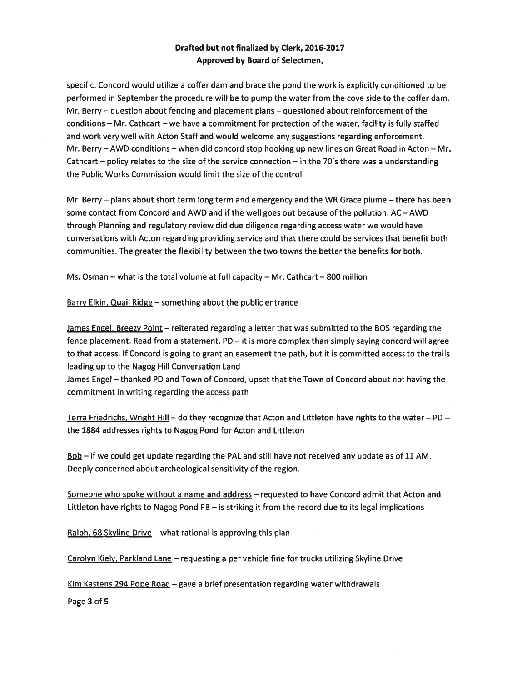specific. Concord would utilize <sup>a</sup> coffer dam and brace the pond the work is explicitly conditioned to be performed in September the procedure will be to pump the water from the cove side to the coffer dam. Mr. Berry — question about fencing and placement plans — questioned about reinforcement of the conditions — Mr. Cathcart — we have <sup>a</sup> commitment for protection of the water, facility is fully staffed and work very well with Acton Staff and would welcome any suggestions regarding enforcement. Mr. Berry — AWD conditions — when did concord stop hooking up new lines on Great Road in Acton — Mr. Cathcart – policy relates to the size of the service connection – in the 70's there was a understanding the Public Works Commission would limit the size of the control

Mr. Berry — plans about short term long term and emergency and the WR Grace plume —there has been some contact from Concord and AWD and if the well goes out because of the pollution. AC — AWD through Planning and regulatory review did due diligence regarding access water we would have conversations with Acton regarding providing service and that there could be services that benefit both communities. The greater the flexibility between the two towns the better the benefits for both.

Ms. Osman  $-$  what is the total volume at full capacity  $-$  Mr. Cathcart  $-$  800 million

Barry Elkin, Quail Ridge — something about the public entrance

James Engel, Breezy Point - reiterated regarding a letter that was submitted to the BOS regarding the fence placement. Read from <sup>a</sup> statement. PD — it is more complex than simply saying concord will agree to that access. If Concord is going to gran<sup>t</sup> an easement the path, but it is committed access to the trails leading up to the Nagog Hill Conversation Land

James Engel – thanked PD and Town of Concord, upset that the Town of Concord about not having the commitment in writing regarding the access path

Terra Friedrichs, Wright Hill – do they recognize that Acton and Littleton have rights to the water – PD – the 1884 addresses rights to Nagog Pond for Acton and Littleton

 $\underline{Bob}$  – if we could get update regarding the PAL and still have not received any update as of 11 AM. Deeply concerned about archeological sensitivity of the region.

Someone who spoke without a name and address – requested to have Concord admit that Acton and Littleton have rights to Nagog Pond PB — is striking it from the record due to its legal implications

Ralph, 68 Skyline Drive – what rational is approving this plan

Carolyn Kiely, Parkiand Lane — requesting <sup>a</sup> per vehicle fine for trucks utilizing Skyline Drive

Kim Kastens 294 Pope Road — gave <sup>a</sup> brief presentation regarding water withdrawals

Page 3 of 5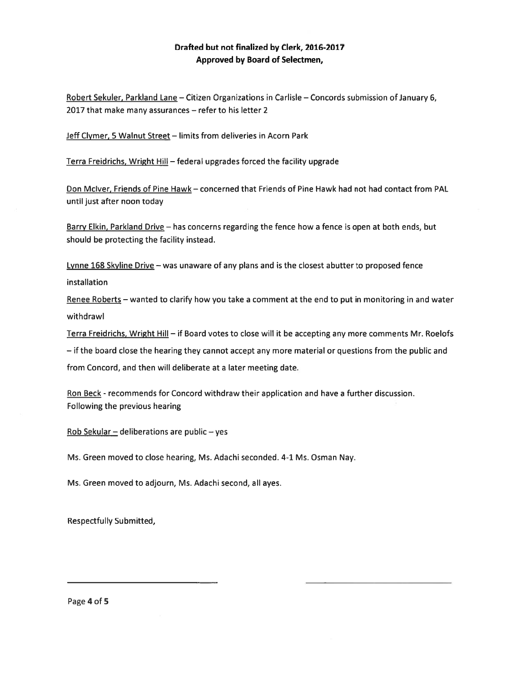Robert Sekuler, Parkland Lane — Citizen Organizations in Carlisle — Concords submission of January 6, 2017 that make many assurances — refer to his letter 2

Jeff Clymer, 5 Walnut Street — limits from deliveries in Acorn Park

Terra Freidrichs, Wright Hill — federal upgrades forced the facility upgrade

Don Mclver, Friends of Pine Hawk — concerned that Friends of Pine Hawk had not had contact from PAL until just after noon today

Barry Elkin, Parkland Drive — has concerns regarding the fence how <sup>a</sup> fence is open at both ends, but should be protecting the facility instead.

Lynne 168 Skyline Drive - was unaware of any plans and is the closest abutter to proposed fence installation

Renee Roberts — wanted to clarify how you take <sup>a</sup> comment at the end to pu<sup>t</sup> in monitoring in and water withdrawl

Terra Freidrichs, Wright Hill — if Board votes to close will it be accepting any more comments Mr. Roelofs

— if the board close the hearing they cannot accep<sup>t</sup> any more material or questions from the public and

from Concord, and then will deliberate at <sup>a</sup> later meeting date.

Ron Beck - recommends for Concord withdraw their application and have <sup>a</sup> further discussion. Following the previous hearing

Rob Sekular — deliberations are public — yes

Ms. Green moved to close hearing, Ms. Adachi seconded. 4-1 Ms. Osman Nay.

Ms. Green moved to adjourn, Ms. Adachi second, all ayes.

Respectfully Submitted,

Page 4 of 5